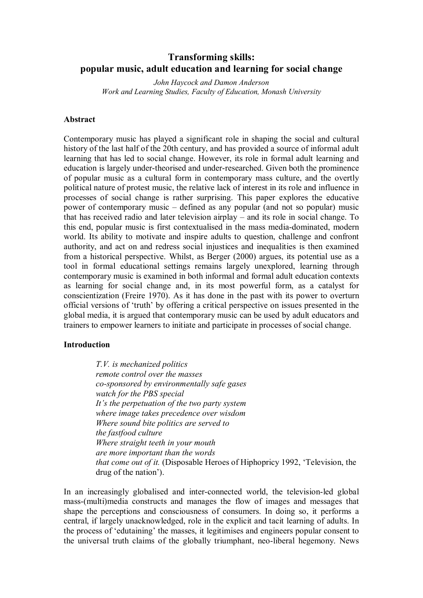# **Transforming skills: popular music, adult education and learning for social change**

*John Haycock and Damon Anderson Work and Learning Studies, Faculty of Education, Monash University*

## **Abstract**

Contemporary music has played a significant role in shaping the social and cultural history of the last half of the 20th century, and has provided a source of informal adult learning that has led to social change. However, its role in formal adult learning and education is largely under-theorised and under-researched. Given both the prominence of popular music as a cultural form in contemporary mass culture, and the overtly political nature of protest music, the relative lack of interest in its role and influence in processes of social change is rather surprising. This paper explores the educative power of contemporary music – defined as any popular (and not so popular) music that has received radio and later television airplay – and its role in social change. To this end, popular music is first contextualised in the mass media-dominated, modern world. Its ability to motivate and inspire adults to question, challenge and confront authority, and act on and redress social injustices and inequalities is then examined from a historical perspective. Whilst, as Berger (2000) argues, its potential use as a tool in formal educational settings remains largely unexplored, learning through contemporary music is examined in both informal and formal adult education contexts as learning for social change and, in its most powerful form, as a catalyst for conscientization (Freire 1970). As it has done in the past with its power to overturn official versions of 'truth' by offering a critical perspective on issues presented in the global media, it is argued that contemporary music can be used by adult educators and trainers to empower learners to initiate and participate in processes of social change.

### **Introduction**

*T.V. is mechanized politics remote control over the masses cosponsored by environmentally safe gases watch for the PBS special It's the perpetuation of the two party system where image takes precedence over wisdom Where sound bite politics are served to the fastfood culture Where straight teeth in your mouth are more important than the words that come out of it.* (Disposable Heroes of Hiphopricy 1992, 'Television, the drug of the nation').

In an increasingly globalised and inter-connected world, the television-led global mass-(multi)media constructs and manages the flow of images and messages that shape the perceptions and consciousness of consumers. In doing so, it performs a central, if largely unacknowledged, role in the explicit and tacit learning of adults. In the process of 'edutaining' the masses, it legitimises and engineers popular consent to the universal truth claims of the globally triumphant, neo-liberal hegemony. News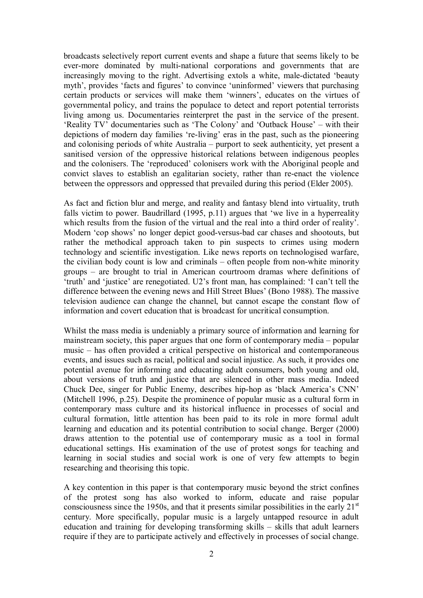broadcasts selectively report current events and shape a future that seems likely to be ever-more dominated by multi-national corporations and governments that are increasingly moving to the right. Advertising extols a white, male-dictated 'beauty myth', provides 'facts and figures' to convince 'uninformed' viewers that purchasing certain products or services will make them 'winners', educates on the virtues of governmental policy, and trains the populace to detect and report potential terrorists living among us. Documentaries reinterpret the past in the service of the present. 'Reality TV' documentaries such as 'The Colony' and 'Outback House' – with their depictions of modern day families 're-living' eras in the past, such as the pioneering and colonising periods of white Australia – purport to seek authenticity, yet present a sanitised version of the oppressive historical relations between indigenous peoples and the colonisers. The 'reproduced' colonisers work with the Aboriginal people and convict slaves to establish an egalitarian society, rather than re-enact the violence between the oppressors and oppressed that prevailed during this period (Elder 2005).

As fact and fiction blur and merge, and reality and fantasy blend into virtuality, truth falls victim to power. Baudrillard (1995, p.11) argues that 'we live in a hyperreality which results from the fusion of the virtual and the real into a third order of reality'. Modern 'cop shows' no longer depict good-versus-bad car chases and shootouts, but rather the methodical approach taken to pin suspects to crimes using modern technology and scientific investigation. Like news reports on technologised warfare, the civilian body count is low and criminals  $-$  often people from non-white minority groups – are brought to trial in American courtroom dramas where definitions of 'truth' and 'justice' are renegotiated. U2's front man, has complained: 'I can't tell the difference between the evening news and Hill Street Blues' (Bono 1988). The massive television audience can change the channel, but cannot escape the constant flow of information and covert education that is broadcast for uncritical consumption.

Whilst the mass media is undeniably a primary source of information and learning for mainstream society, this paper argues that one form of contemporary media – popular music – has often provided a critical perspective on historical and contemporaneous events, and issues such as racial, political and social injustice. As such, it provides one potential avenue for informing and educating adult consumers, both young and old, about versions of truth and justice that are silenced in other mass media. Indeed Chuck Dee, singer for Public Enemy, describes hiphop as 'black America's CNN' (Mitchell 1996, p.25). Despite the prominence of popular music as a cultural form in contemporary mass culture and its historical influence in processes of social and cultural formation, little attention has been paid to its role in more formal adult learning and education and its potential contribution to social change. Berger (2000) draws attention to the potential use of contemporary music as a tool in formal educational settings. His examination of the use of protest songs for teaching and learning in social studies and social work is one of very few attempts to begin researching and theorising this topic.

A key contention in this paper is that contemporary music beyond the strict confines of the protest song has also worked to inform, educate and raise popular consciousness since the 1950s, and that it presents similar possibilities in the early  $21<sup>st</sup>$ century. More specifically, popular music is a largely untapped resource in adult education and training for developing transforming skills – skills that adult learners require if they are to participate actively and effectively in processes of social change.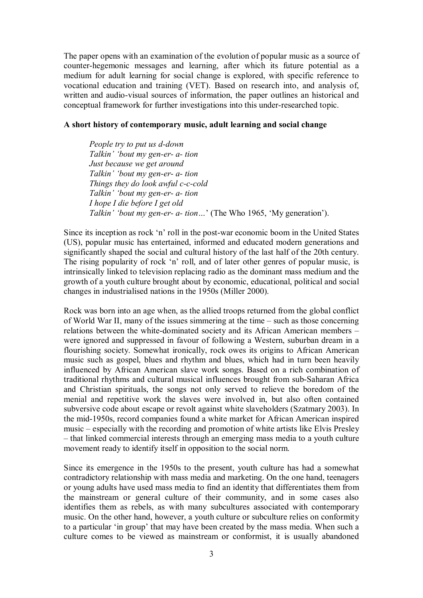The paper opens with an examination of the evolution of popular music as a source of counter-hegemonic messages and learning, after which its future potential as a medium for adult learning for social change is explored, with specific reference to vocational education and training (VET). Based on research into, and analysis of, written and audio-visual sources of information, the paper outlines an historical and conceptual framework for further investigations into this under-researched topic.

# **A short history of contemporary music, adult learning and social change**

*People try to put us d-down Talkin'* 'bout my gen-er- a- tion *Just because we get around Talkin'* 'bout my gen-er- a- tion *Things they do look awful c-c-cold Talkin'* 'bout my gen-er- a- tion *I hope I die before I get old Talkin'* '*bout my gen-er- a-tion...'* (The Who 1965, 'My generation').

Since its inception as rock 'n' roll in the post-war economic boom in the United States (US), popular music has entertained, informed and educated modern generations and significantly shaped the social and cultural history of the last half of the 20th century. The rising popularity of rock 'n' roll, and of later other genres of popular music, is intrinsically linked to television replacing radio as the dominant mass medium and the growth of a youth culture brought about by economic, educational, political and social changes in industrialised nations in the 1950s (Miller 2000).

Rock was born into an age when, as the allied troops returned from the global conflict of World War II, many of the issues simmering at the time – such as those concerning relations between the white-dominated society and its African American members – were ignored and suppressed in favour of following a Western, suburban dream in a flourishing society. Somewhat ironically, rock owes its origins to African American music such as gospel, blues and rhythm and blues, which had in turn been heavily influenced by African American slave work songs. Based on a rich combination of traditional rhythms and cultural musical influences brought from sub-Saharan Africa and Christian spirituals, the songs not only served to relieve the boredom of the menial and repetitive work the slaves were involved in, but also often contained subversive code about escape or revolt against white slaveholders (Szatmary 2003). In the mid-1950s, record companies found a white market for African American inspired music – especially with the recording and promotion of white artists like Elvis Presley – that linked commercial interests through an emerging mass media to a youth culture movement ready to identify itself in opposition to the social norm.

Since its emergence in the 1950s to the present, youth culture has had a somewhat contradictory relationship with mass media and marketing. On the one hand, teenagers or young adults have used mass media to find an identity that differentiates them from the mainstream or general culture of their community, and in some cases also identifies them as rebels, as with many subcultures associated with contemporary music. On the other hand, however, a youth culture or subculture relies on conformity to a particular 'in group' that may have been created by the mass media. When such a culture comes to be viewed as mainstream or conformist, it is usually abandoned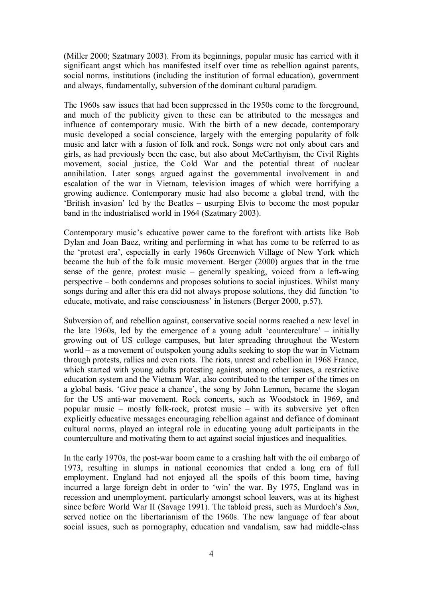(Miller 2000; Szatmary 2003). From its beginnings, popular music has carried with it significant angst which has manifested itself over time as rebellion against parents, social norms, institutions (including the institution of formal education), government and always, fundamentally, subversion of the dominant cultural paradigm.

The 1960s saw issues that had been suppressed in the 1950s come to the foreground, and much of the publicity given to these can be attributed to the messages and influence of contemporary music. With the birth of a new decade, contemporary music developed a social conscience, largely with the emerging popularity of folk music and later with a fusion of folk and rock. Songs were not only about cars and girls, as had previously been the case, but also about McCarthyism, the Civil Rights movement, social justice, the Cold War and the potential threat of nuclear annihilation. Later songs argued against the governmental involvement in and escalation of the war in Vietnam, television images of which were horrifying a growing audience. Contemporary music had also become a global trend, with the 'British invasion' led by the Beatles – usurping Elvis to become the most popular band in the industrialised world in 1964 (Szatmary 2003).

Contemporary music's educative power came to the forefront with artists like Bob Dylan and Joan Baez, writing and performing in what has come to be referred to as the 'protest era', especially in early 1960s Greenwich Village of New York which became the hub of the folk music movement. Berger (2000) argues that in the true sense of the genre, protest music  $-$  generally speaking, voiced from a left-wing perspective – both condemns and proposes solutions to social injustices. Whilst many songs during and after this era did not always propose solutions, they did function 'to educate, motivate, and raise consciousness' in listeners (Berger 2000, p.57).

Subversion of, and rebellion against, conservative social norms reached a new level in the late  $1960s$ , led by the emergence of a young adult 'counterculture' – initially growing out of US college campuses, but later spreading throughout the Western world – as a movement of outspoken young adults seeking to stop the war in Vietnam through protests, rallies and even riots. The riots, unrest and rebellion in 1968 France, which started with young adults protesting against, among other issues, a restrictive education system and the Vietnam War, also contributed to the temper of the times on a global basis. 'Give peace a chance', the song by John Lennon, became the slogan for the US anti-war movement. Rock concerts, such as Woodstock in 1969, and popular music  $-$  mostly folk-rock, protest music  $-$  with its subversive vet often explicitly educative messages encouraging rebellion against and defiance of dominant cultural norms, played an integral role in educating young adult participants in the counterculture and motivating them to act against social injustices and inequalities.

In the early 1970s, the post-war boom came to a crashing halt with the oil embargo of 1973, resulting in slumps in national economies that ended a long era of full employment. England had not enjoyed all the spoils of this boom time, having incurred a large foreign debt in order to 'win' the war. By 1975, England was in recession and unemployment, particularly amongst school leavers, was at its highest since before World War II (Savage 1991). The tabloid press, such as Murdoch's *Sun*, served notice on the libertarianism of the 1960s. The new language of fear about social issues, such as pornography, education and vandalism, saw had middle-class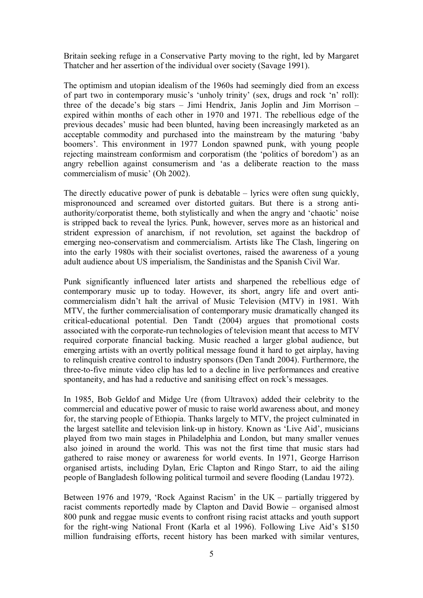Britain seeking refuge in a Conservative Party moving to the right, led by Margaret Thatcher and her assertion of the individual over society (Savage 1991).

The optimism and utopian idealism of the 1960s had seemingly died from an excess of part two in contemporary music's 'unholy trinity' (sex, drugs and rock 'n' roll): three of the decade's big stars – Jimi Hendrix, Janis Joplin and Jim Morrison – expired within months of each other in 1970 and 1971. The rebellious edge of the previous decades' music had been blunted, having been increasingly marketed as an acceptable commodity and purchased into the mainstream by the maturing 'baby boomers'. This environment in 1977 London spawned punk, with young people rejecting mainstream conformism and corporatism (the 'politics of boredom') as an angry rebellion against consumerism and 'as a deliberate reaction to the mass commercialism of music' (Oh 2002).

The directly educative power of punk is debatable – lyrics were often sung quickly, mispronounced and screamed over distorted guitars. But there is a strong anti authority/corporatist theme, both stylistically and when the angry and 'chaotic' noise is stripped back to reveal the lyrics. Punk, however, serves more as an historical and strident expression of anarchism, if not revolution, set against the backdrop of emerging neo-conservatism and commercialism. Artists like The Clash, lingering on into the early 1980s with their socialist overtones, raised the awareness of a young adult audience about US imperialism, the Sandinistas and the Spanish Civil War.

Punk significantly influenced later artists and sharpened the rebellious edge of contemporary music up to today. However, its short, angry life and overt anti commercialism didn't halt the arrival of Music Television (MTV) in 1981. With MTV, the further commercialisation of contemporary music dramatically changed its critical-educational potential. Den Tandt (2004) argues that promotional costs associated with the corporate-run technologies of television meant that access to MTV required corporate financial backing. Music reached a larger global audience, but emerging artists with an overtly political message found it hard to get airplay, having to relinquish creative control to industry sponsors (Den Tandt 2004). Furthermore, the three-to-five minute video clip has led to a decline in live performances and creative spontaneity, and has had a reductive and sanitising effect on rock's messages.

In 1985, Bob Geldof and Midge Ure (from Ultravox) added their celebrity to the commercial and educative power of music to raise world awareness about, and money for, the starving people of Ethiopia. Thanks largely to MTV, the project culminated in the largest satellite and television link-up in history. Known as 'Live Aid', musicians played from two main stages in Philadelphia and London, but many smaller venues also joined in around the world. This was not the first time that music stars had gathered to raise money or awareness for world events. In 1971, George Harrison organised artists, including Dylan, Eric Clapton and Ringo Starr, to aid the ailing people of Bangladesh following political turmoil and severe flooding (Landau 1972).

Between 1976 and 1979, 'Rock Against Racism' in the UK – partially triggered by racist comments reportedly made by Clapton and David Bowie – organised almost 800 punk and reggae music events to confront rising racist attacks and youth support for the right-wing National Front (Karla et al 1996). Following Live Aid's \$150 million fundraising efforts, recent history has been marked with similar ventures,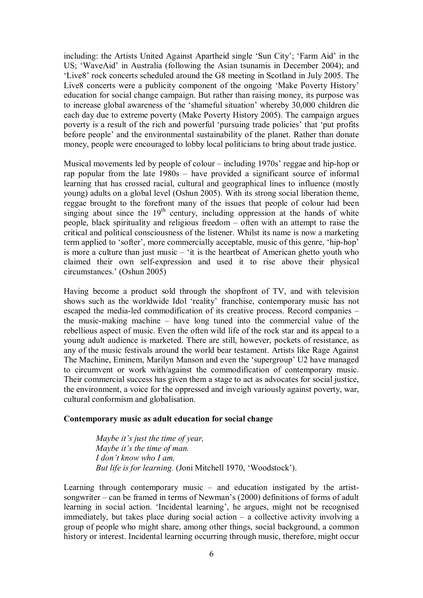including: the Artists United Against Apartheid single 'Sun City'; 'Farm Aid' in the US; 'WaveAid' in Australia (following the Asian tsunamis in December 2004); and 'Live8' rock concerts scheduled around the G8 meeting in Scotland in July 2005. The Live8 concerts were a publicity component of the ongoing 'Make Poverty History' education for social change campaign. But rather than raising money, its purpose was to increase global awareness of the 'shameful situation' whereby 30,000 children die each day due to extreme poverty (Make Poverty History 2005). The campaign argues poverty is a result of the rich and powerful 'pursuing trade policies' that 'put profits before people' and the environmental sustainability of the planet. Rather than donate money, people were encouraged to lobby local politicians to bring about trade justice.

Musical movements led by people of colour – including 1970s' reggae and hip-hop or rap popular from the late 1980s – have provided a significant source of informal learning that has crossed racial, cultural and geographical lines to influence (mostly young) adults on a global level (Oshun 2005). With its strong social liberation theme, reggae brought to the forefront many of the issues that people of colour had been singing about since the  $19<sup>th</sup>$  century, including oppression at the hands of white people, black spirituality and religious freedom – often with an attempt to raise the critical and political consciousness of the listener. Whilst its name is now a marketing term applied to 'softer', more commercially acceptable, music of this genre, 'hip-hop' is more a culture than just music – 'it is the heartbeat of American ghetto youth who claimed their own selfexpression and used it to rise above their physical circumstances.' (Oshun 2005)

Having become a product sold through the shopfront of TV, and with television shows such as the worldwide Idol 'reality' franchise, contemporary music has not escaped the media-led commodification of its creative process. Record companies – the music-making machine  $-$  have long tuned into the commercial value of the rebellious aspect of music. Even the often wild life of the rock star and its appeal to a young adult audience is marketed. There are still, however, pockets of resistance, as any of the music festivals around the world bear testament. Artists like Rage Against The Machine, Eminem, Marilyn Manson and even the 'supergroup' U2 have managed to circumvent or work with/against the commodification of contemporary music. Their commercial success has given them a stage to act as advocates for social justice, the environment, a voice for the oppressed and inveigh variously against poverty, war, cultural conformism and globalisation.

## **Contemporary music as adult education for social change**

*Maybe it's just the time of year, Maybe it's the time of man. I don't know who I am, But life is for learning.* (Joni Mitchell 1970, 'Woodstock').

Learning through contemporary music – and education instigated by the artistsongwriter – can be framed in terms of Newman's (2000) definitions of forms of adult learning in social action. 'Incidental learning', he argues, might not be recognised immediately, but takes place during social action  $-$  a collective activity involving a group of people who might share, among other things, social background, a common history or interest. Incidental learning occurring through music, therefore, might occur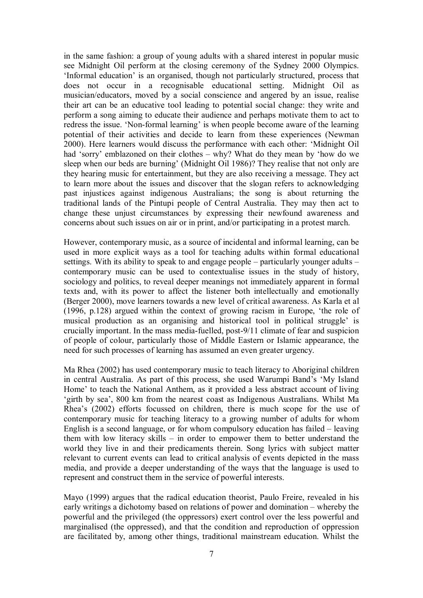in the same fashion: a group of young adults with a shared interest in popular music see Midnight Oil perform at the closing ceremony of the Sydney 2000 Olympics. 'Informal education' is an organised, though not particularly structured, process that does not occur in a recognisable educational setting. Midnight Oil as musician/educators, moved by a social conscience and angered by an issue, realise their art can be an educative tool leading to potential social change: they write and perform a song aiming to educate their audience and perhaps motivate them to act to redress the issue. 'Non-formal learning' is when people become aware of the learning potential of their activities and decide to learn from these experiences (Newman 2000). Here learners would discuss the performance with each other: 'Midnight Oil had 'sorry' emblazoned on their clothes – why? What do they mean by 'how do we sleep when our beds are burning' (Midnight Oil 1986)? They realise that not only are they hearing music for entertainment, but they are also receiving a message. They act to learn more about the issues and discover that the slogan refers to acknowledging past injustices against indigenous Australians; the song is about returning the traditional lands of the Pintupi people of Central Australia. They may then act to change these unjust circumstances by expressing their newfound awareness and concerns about such issues on air or in print, and/or participating in a protest march.

However, contemporary music, as a source of incidental and informal learning, can be used in more explicit ways as a tool for teaching adults within formal educational settings. With its ability to speak to and engage people – particularly younger adults – contemporary music can be used to contextualise issues in the study of history, sociology and politics, to reveal deeper meanings not immediately apparent in formal texts and, with its power to affect the listener both intellectually and emotionally (Berger 2000), move learners towards a new level of critical awareness. As Karla et al (1996, p.128) argued within the context of growing racism in Europe, 'the role of musical production as an organising and historical tool in political struggle' is crucially important. In the mass media-fuelled, post-9/11 climate of fear and suspicion of people of colour, particularly those of Middle Eastern or Islamic appearance, the need for such processes of learning has assumed an even greater urgency.

Ma Rhea (2002) has used contemporary music to teach literacy to Aboriginal children in central Australia. As part of this process, she used Warumpi Band's 'My Island Home' to teach the National Anthem, as it provided a less abstract account of living 'girth by sea', 800 km from the nearest coast as Indigenous Australians. Whilst Ma Rhea's (2002) efforts focussed on children, there is much scope for the use of contemporary music for teaching literacy to a growing number of adults for whom English is a second language, or for whom compulsory education has failed – leaving them with low literacy skills – in order to empower them to better understand the world they live in and their predicaments therein. Song lyrics with subject matter relevant to current events can lead to critical analysis of events depicted in the mass media, and provide a deeper understanding of the ways that the language is used to represent and construct them in the service of powerful interests.

Mayo (1999) argues that the radical education theorist, Paulo Freire, revealed in his early writings a dichotomy based on relations of power and domination – whereby the powerful and the privileged (the oppressors) exert control over the less powerful and marginalised (the oppressed), and that the condition and reproduction of oppression are facilitated by, among other things, traditional mainstream education. Whilst the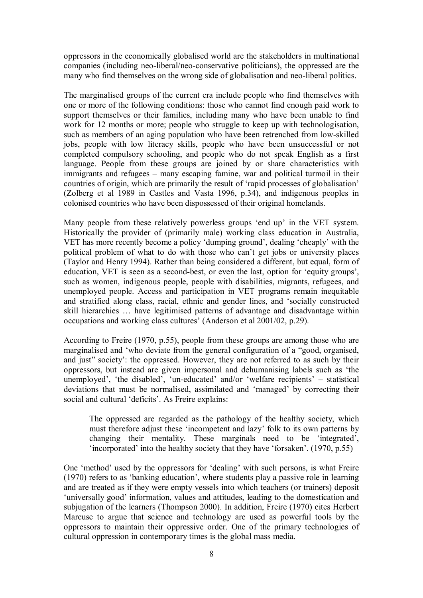oppressors in the economically globalised world are the stakeholders in multinational companies (including neo-liberal/neo-conservative politicians), the oppressed are the many who find themselves on the wrong side of globalisation and neo-liberal politics.

The marginalised groups of the current era include people who find themselves with one or more of the following conditions: those who cannot find enough paid work to support themselves or their families, including many who have been unable to find work for 12 months or more; people who struggle to keep up with technologisation, such as members of an aging population who have been retrenched from low-skilled jobs, people with low literacy skills, people who have been unsuccessful or not completed compulsory schooling, and people who do not speak English as a first language. People from these groups are joined by or share characteristics with immigrants and refugees – many escaping famine, war and political turmoil in their countries of origin, which are primarily the result of 'rapid processes of globalisation' (Zolberg et al 1989 in Castles and Vasta 1996, p.34), and indigenous peoples in colonised countries who have been dispossessed of their original homelands.

Many people from these relatively powerless groups 'end up' in the VET system. Historically the provider of (primarily male) working class education in Australia, VET has more recently become a policy 'dumping ground', dealing 'cheaply' with the political problem of what to do with those who can't get jobs or university places (Taylor and Henry 1994). Rather than being considered a different, but equal, form of education, VET is seen as a second-best, or even the last, option for 'equity groups', such as women, indigenous people, people with disabilities, migrants, refugees, and unemployed people. Access and participation in VET programs remain inequitable and stratified along class, racial, ethnic and gender lines, and 'socially constructed skill hierarchies … have legitimised patterns of advantage and disadvantage within occupations and working class cultures' (Anderson et al 2001/02, p.29).

According to Freire (1970, p.55), people from these groups are among those who are marginalised and 'who deviate from the general configuration of a "good, organised, and just" society': the oppressed. However, they are not referred to as such by their oppressors, but instead are given impersonal and dehumanising labels such as 'the unemployed', 'the disabled', 'un-educated' and/or 'welfare recipients' – statistical deviations that must be normalised, assimilated and 'managed' by correcting their social and cultural 'deficits'. As Freire explains:

The oppressed are regarded as the pathology of the healthy society, which must therefore adjust these 'incompetent and lazy' folk to its own patterns by changing their mentality. These marginals need to be 'integrated', 'incorporated' into the healthy society that they have 'forsaken'. (1970, p.55)

One 'method' used by the oppressors for 'dealing' with such persons, is what Freire (1970) refers to as 'banking education', where students play a passive role in learning and are treated as if they were empty vessels into which teachers (or trainers) deposit 'universally good' information, values and attitudes, leading to the domestication and subjugation of the learners (Thompson 2000). In addition, Freire (1970) cites Herbert Marcuse to argue that science and technology are used as powerful tools by the oppressors to maintain their oppressive order. One of the primary technologies of cultural oppression in contemporary times is the global mass media.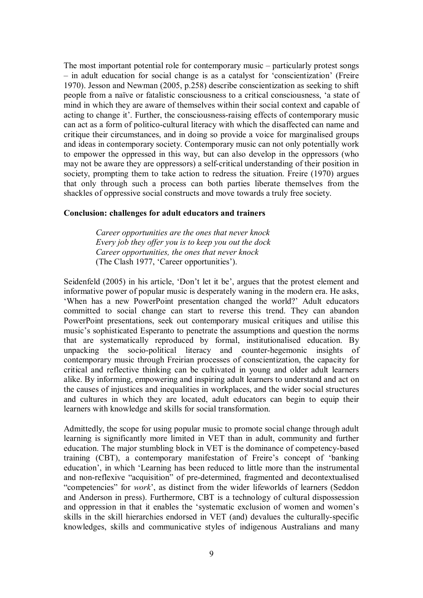The most important potential role for contemporary music – particularly protest songs – in adult education for social change is as a catalyst for 'conscientization' (Freire 1970). Jesson and Newman (2005, p.258) describe conscientization as seeking to shift people from a naïve or fatalistic consciousness to a critical consciousness, 'a state of mind in which they are aware of themselves within their social context and capable of acting to change it'. Further, the consciousness-raising effects of contemporary music can act as a form of politico-cultural literacy with which the disaffected can name and critique their circumstances, and in doing so provide a voice for marginalised groups and ideas in contemporary society. Contemporary music can not only potentially work to empower the oppressed in this way, but can also develop in the oppressors (who may not be aware they are oppressors) a self-critical understanding of their position in society, prompting them to take action to redress the situation. Freire (1970) argues that only through such a process can both parties liberate themselves from the shackles of oppressive social constructs and move towards a truly free society.

### **Conclusion: challenges for adult educators and trainers**

*Career opportunities are the ones that never knock Every job they offer you is to keep you out the dock Career opportunities, the ones that never knock* (The Clash 1977, 'Career opportunities').

Seidenfeld (2005) in his article, 'Don't let it be', argues that the protest element and informative power of popular music is desperately waning in the modern era. He asks, 'When has a new PowerPoint presentation changed the world?' Adult educators committed to social change can start to reverse this trend. They can abandon PowerPoint presentations, seek out contemporary musical critiques and utilise this music's sophisticated Esperanto to penetrate the assumptions and question the norms that are systematically reproduced by formal, institutionalised education. By unpacking the socio-political literacy and counter-hegemonic insights of contemporary music through Freirian processes of conscientization, the capacity for critical and reflective thinking can be cultivated in young and older adult learners alike. By informing, empowering and inspiring adult learners to understand and act on the causes of injustices and inequalities in workplaces, and the wider social structures and cultures in which they are located, adult educators can begin to equip their learners with knowledge and skills for social transformation.

Admittedly, the scope for using popular music to promote social change through adult learning is significantly more limited in VET than in adult, community and further education. The major stumbling block in VET is the dominance of competency-based training (CBT), a contemporary manifestation of Freire's concept of 'banking education', in which 'Learning has been reduced to little more than the instrumental and non-reflexive "acquisition" of pre-determined, fragmented and decontextualised "competencies" for *work*', as distinct from the wider lifeworlds of learners (Seddon and Anderson in press). Furthermore, CBT is a technology of cultural dispossession and oppression in that it enables the 'systematic exclusion of women and women's skills in the skill hierarchies endorsed in VET (and) devalues the culturally-specific knowledges, skills and communicative styles of indigenous Australians and many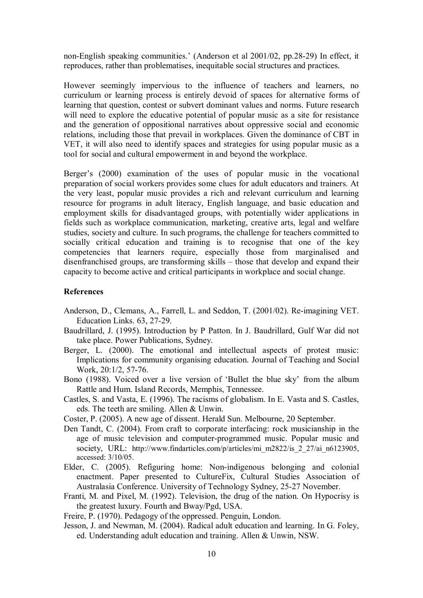non-English speaking communities.' (Anderson et al 2001/02, pp.28-29) In effect, it reproduces, rather than problematises, inequitable social structures and practices.

However seemingly impervious to the influence of teachers and learners, no curriculum or learning process is entirely devoid of spaces for alternative forms of learning that question, contest or subvert dominant values and norms. Future research will need to explore the educative potential of popular music as a site for resistance and the generation of oppositional narratives about oppressive social and economic relations, including those that prevail in workplaces. Given the dominance of CBT in VET, it will also need to identify spaces and strategies for using popular music as a tool for social and cultural empowerment in and beyond the workplace.

Berger's (2000) examination of the uses of popular music in the vocational preparation of social workers provides some clues for adult educators and trainers. At the very least, popular music provides a rich and relevant curriculum and learning resource for programs in adult literacy, English language, and basic education and employment skills for disadvantaged groups, with potentially wider applications in fields such as workplace communication, marketing, creative arts, legal and welfare studies, society and culture. In such programs, the challenge for teachers committed to socially critical education and training is to recognise that one of the key competencies that learners require, especially those from marginalised and disenfranchised groups, are transforming skills – those that develop and expand their capacity to become active and critical participants in workplace and social change.

## **References**

- Anderson, D., Clemans, A., Farrell, L. and Seddon, T. (2001/02). Re-imagining VET. Education Links. 63, 27-29.
- Baudrillard, J. (1995). Introduction by P Patton. In J. Baudrillard, Gulf War did not take place. Power Publications, Sydney.
- Berger, L. (2000). The emotional and intellectual aspects of protest music: Implications for community organising education. Journal of Teaching and Social Work, 20:1/2, 57-76.
- Bono (1988). Voiced over a live version of 'Bullet the blue sky' from the album Rattle and Hum. Island Records, Memphis, Tennessee.
- Castles, S. and Vasta, E. (1996). The racisms of globalism. In E. Vasta and S. Castles, eds. The teeth are smiling. Allen & Unwin.
- Coster, P. (2005). A new age of dissent. Herald Sun. Melbourne, 20 September.
- Den Tandt, C. (2004). From craft to corporate interfacing: rock musicianship in the age of music television and computer-programmed music. Popular music and society, URL: [http://www.findarticles.com/p/articles/mi\\_m2822/is\\_2\\_27/ai\\_n6123905](http://www.findarticles.com/p/articles/mi_m2822/is_2_27/ai_n6123905), accessed: 3/10/05.
- Elder, C. (2005). Refiguring home: Non-indigenous belonging and colonial enactment. Paper presented to CultureFix, Cultural Studies Association of Australasia Conference. University of Technology Sydney, 25-27 November.
- Franti, M. and Pixel, M. (1992). Television, the drug of the nation. On Hypocrisy is the greatest luxury. Fourth and Bway/Pgd, USA.

Freire, P. (1970). Pedagogy of the oppressed. Penguin, London.

Jesson, J. and Newman, M. (2004). Radical adult education and learning. In G. Foley, ed. Understanding adult education and training. Allen & Unwin, NSW.